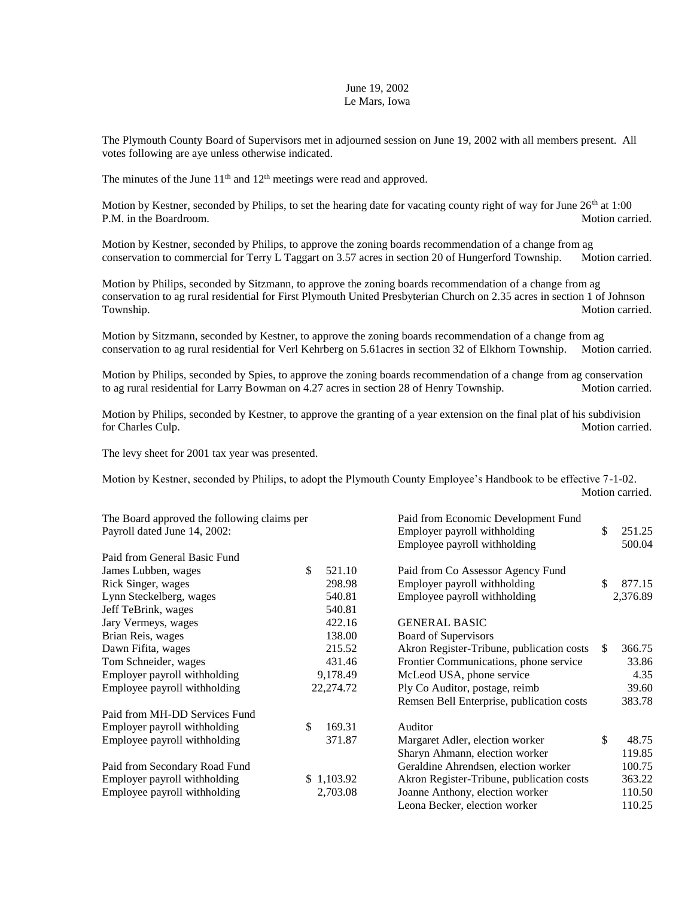## June 19, 2002 Le Mars, Iowa

The Plymouth County Board of Supervisors met in adjourned session on June 19, 2002 with all members present. All votes following are aye unless otherwise indicated.

The minutes of the June  $11<sup>th</sup>$  and  $12<sup>th</sup>$  meetings were read and approved.

Motion by Kestner, seconded by Philips, to set the hearing date for vacating county right of way for June 26<sup>th</sup> at 1:00 P.M. in the Boardroom. Notion carried.

Motion by Kestner, seconded by Philips, to approve the zoning boards recommendation of a change from ag conservation to commercial for Terry L Taggart on 3.57 acres in section 20 of Hungerford Township. Motion carried.

Motion by Philips, seconded by Sitzmann, to approve the zoning boards recommendation of a change from ag conservation to ag rural residential for First Plymouth United Presbyterian Church on 2.35 acres in section 1 of Johnson Township. Motion carried.

Motion by Sitzmann, seconded by Kestner, to approve the zoning boards recommendation of a change from ag conservation to ag rural residential for Verl Kehrberg on 5.61acres in section 32 of Elkhorn Township. Motion carried.

Motion by Philips, seconded by Spies, to approve the zoning boards recommendation of a change from ag conservation to ag rural residential for Larry Bowman on 4.27 acres in section 28 of Henry Township. Motion carried.

Motion by Philips, seconded by Kestner, to approve the granting of a year extension on the final plat of his subdivision for Charles Culp. Motion carried. Motion carried.

The levy sheet for 2001 tax year was presented.

Motion by Kestner, seconded by Philips, to adopt the Plymouth County Employee's Handbook to be effective 7-1-02. Motion carried.

| The Board approved the following claims per |               | Paid from Economic Development Fund       |     |          |
|---------------------------------------------|---------------|-------------------------------------------|-----|----------|
| Payroll dated June 14, 2002:                |               | Employer payroll withholding              |     | 251.25   |
|                                             |               | Employee payroll withholding              |     | 500.04   |
| Paid from General Basic Fund                |               |                                           |     |          |
| James Lubben, wages                         | \$.<br>521.10 | Paid from Co Assessor Agency Fund         |     |          |
| Rick Singer, wages                          | 298.98        | Employer payroll withholding              | \$  | 877.15   |
| Lynn Steckelberg, wages                     | 540.81        | Employee payroll withholding              |     | 2,376.89 |
| Jeff TeBrink, wages                         | 540.81        |                                           |     |          |
| Jary Vermeys, wages                         | 422.16        | <b>GENERAL BASIC</b>                      |     |          |
| Brian Reis, wages                           | 138.00        | <b>Board of Supervisors</b>               |     |          |
| Dawn Fifita, wages                          | 215.52        | Akron Register-Tribune, publication costs | \$. | 366.75   |
| Tom Schneider, wages                        | 431.46        | Frontier Communications, phone service    |     | 33.86    |
| Employer payroll withholding                | 9,178.49      | McLeod USA, phone service                 |     | 4.35     |
| Employee payroll withholding                | 22,274.72     | Ply Co Auditor, postage, reimb            |     | 39.60    |
|                                             |               | Remsen Bell Enterprise, publication costs |     | 383.78   |
| Paid from MH-DD Services Fund               |               |                                           |     |          |
| Employer payroll withholding                | \$<br>169.31  | Auditor                                   |     |          |
| Employee payroll withholding                | 371.87        | Margaret Adler, election worker           | \$  | 48.75    |
|                                             |               | Sharyn Ahmann, election worker            |     | 119.85   |
| Paid from Secondary Road Fund               |               | Geraldine Ahrendsen, election worker      |     | 100.75   |
| Employer payroll withholding                | \$1,103.92    | Akron Register-Tribune, publication costs |     | 363.22   |
| Employee payroll withholding                | 2,703.08      | Joanne Anthony, election worker           |     | 110.50   |
|                                             |               | Leona Becker, election worker             |     | 110.25   |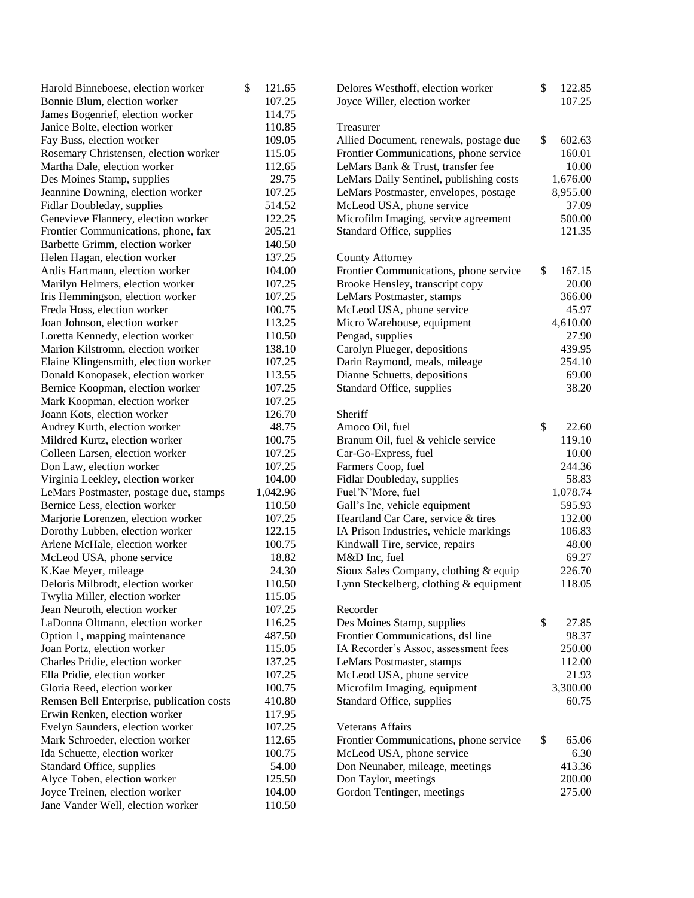| Harold Binneboese, election worker                           | \$<br>121.65 | Delores Westhoff, election worker       | \$<br>122.85 |
|--------------------------------------------------------------|--------------|-----------------------------------------|--------------|
| Bonnie Blum, election worker                                 | 107.25       | Joyce Willer, election worker           | 107.25       |
| James Bogenrief, election worker                             | 114.75       |                                         |              |
| Janice Bolte, election worker                                | 110.85       | Treasurer                               |              |
| Fay Buss, election worker                                    | 109.05       | Allied Document, renewals, postage due  | \$<br>602.63 |
| Rosemary Christensen, election worker                        | 115.05       | Frontier Communications, phone service  | 160.01       |
| Martha Dale, election worker                                 | 112.65       | LeMars Bank & Trust, transfer fee       | 10.00        |
| Des Moines Stamp, supplies                                   | 29.75        | LeMars Daily Sentinel, publishing costs | 1,676.00     |
| Jeannine Downing, election worker                            | 107.25       | LeMars Postmaster, envelopes, postage   | 8,955.00     |
| Fidlar Doubleday, supplies                                   | 514.52       | McLeod USA, phone service               | 37.09        |
| Genevieve Flannery, election worker                          | 122.25       | Microfilm Imaging, service agreement    | 500.00       |
| Frontier Communications, phone, fax                          | 205.21       | Standard Office, supplies               | 121.35       |
| Barbette Grimm, election worker                              | 140.50       |                                         |              |
| Helen Hagan, election worker                                 | 137.25       | <b>County Attorney</b>                  |              |
| Ardis Hartmann, election worker                              | 104.00       | Frontier Communications, phone service  | \$<br>167.15 |
| Marilyn Helmers, election worker                             | 107.25       | Brooke Hensley, transcript copy         | 20.00        |
| Iris Hemmingson, election worker                             | 107.25       | LeMars Postmaster, stamps               | 366.00       |
| Freda Hoss, election worker                                  | 100.75       | McLeod USA, phone service               | 45.97        |
| Joan Johnson, election worker                                | 113.25       | Micro Warehouse, equipment              | 4,610.00     |
| Loretta Kennedy, election worker                             | 110.50       | Pengad, supplies                        | 27.90        |
| Marion Kilstromn, election worker                            | 138.10       | Carolyn Plueger, depositions            | 439.95       |
| Elaine Klingensmith, election worker                         | 107.25       | Darin Raymond, meals, mileage           | 254.10       |
| Donald Konopasek, election worker                            | 113.55       | Dianne Schuetts, depositions            | 69.00        |
| Bernice Koopman, election worker                             | 107.25       | Standard Office, supplies               | 38.20        |
| Mark Koopman, election worker                                | 107.25       |                                         |              |
| Joann Kots, election worker                                  | 126.70       | Sheriff                                 |              |
| Audrey Kurth, election worker                                | 48.75        | Amoco Oil, fuel                         | \$<br>22.60  |
| Mildred Kurtz, election worker                               | 100.75       | Branum Oil, fuel & vehicle service      | 119.10       |
| Colleen Larsen, election worker                              | 107.25       | Car-Go-Express, fuel                    | 10.00        |
| Don Law, election worker                                     | 107.25       | Farmers Coop, fuel                      | 244.36       |
| Virginia Leekley, election worker                            | 104.00       | Fidlar Doubleday, supplies              | 58.83        |
| LeMars Postmaster, postage due, stamps                       | 1,042.96     | Fuel'N'More, fuel                       | 1,078.74     |
| Bernice Less, election worker                                | 110.50       | Gall's Inc, vehicle equipment           | 595.93       |
| Marjorie Lorenzen, election worker                           | 107.25       | Heartland Car Care, service & tires     | 132.00       |
| Dorothy Lubben, election worker                              | 122.15       | IA Prison Industries, vehicle markings  | 106.83       |
| Arlene McHale, election worker                               | 100.75       | Kindwall Tire, service, repairs         | 48.00        |
| McLeod USA, phone service                                    | 18.82        | M&D Inc, fuel                           | 69.27        |
| K.Kae Meyer, mileage                                         | 24.30        | Sioux Sales Company, clothing & equip   | 226.70       |
| Deloris Milbrodt, election worker                            | 110.50       | Lynn Steckelberg, clothing & equipment  | 118.05       |
| Twylia Miller, election worker                               | 115.05       |                                         |              |
| Jean Neuroth, election worker                                | 107.25       | Recorder                                |              |
| LaDonna Oltmann, election worker                             | 116.25       | Des Moines Stamp, supplies              | \$<br>27.85  |
|                                                              | 487.50       | Frontier Communications, dsl line       | 98.37        |
| Option 1, mapping maintenance<br>Joan Portz, election worker | 115.05       |                                         | 250.00       |
|                                                              | 137.25       | IA Recorder's Assoc, assessment fees    | 112.00       |
| Charles Pridie, election worker                              |              | LeMars Postmaster, stamps               |              |
| Ella Pridie, election worker                                 | 107.25       | McLeod USA, phone service               | 21.93        |
| Gloria Reed, election worker                                 | 100.75       | Microfilm Imaging, equipment            | 3,300.00     |
| Remsen Bell Enterprise, publication costs                    | 410.80       | Standard Office, supplies               | 60.75        |
| Erwin Renken, election worker                                | 117.95       |                                         |              |
| Evelyn Saunders, election worker                             | 107.25       | Veterans Affairs                        |              |
| Mark Schroeder, election worker                              | 112.65       | Frontier Communications, phone service  | \$<br>65.06  |
| Ida Schuette, election worker                                | 100.75       | McLeod USA, phone service               | 6.30         |
| Standard Office, supplies                                    | 54.00        | Don Neunaber, mileage, meetings         | 413.36       |
| Alyce Toben, election worker                                 | 125.50       | Don Taylor, meetings                    | 200.00       |
| Joyce Treinen, election worker                               | 104.00       | Gordon Tentinger, meetings              | 275.00       |
| Jane Vander Well, election worker                            | 110.50       |                                         |              |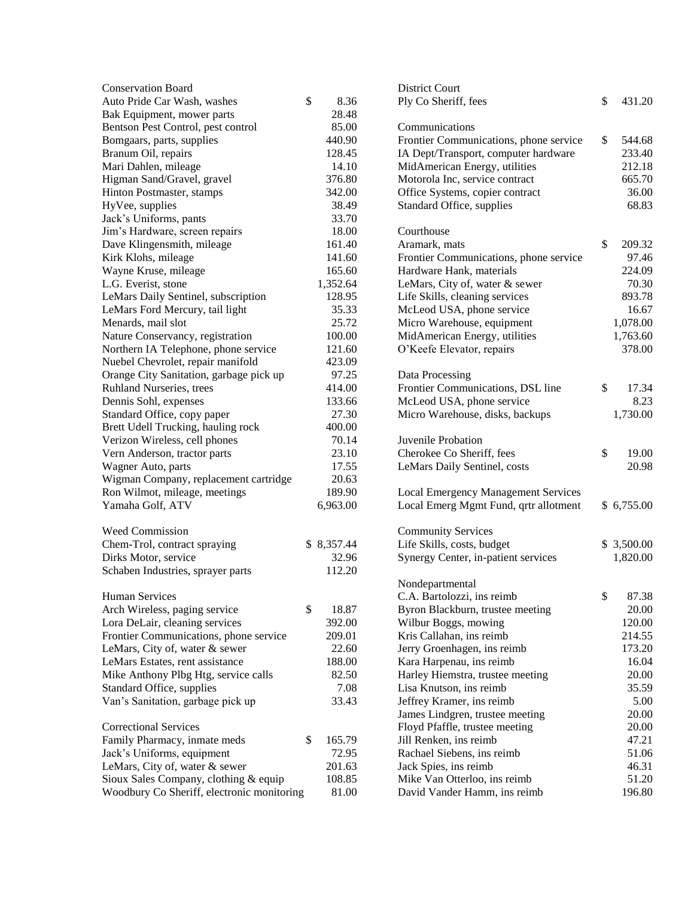| <b>Conservation Board</b>                                      |             | <b>District Court</b>                      |    |            |
|----------------------------------------------------------------|-------------|--------------------------------------------|----|------------|
| Auto Pride Car Wash, washes                                    | \$<br>8.36  | Ply Co Sheriff, fees                       |    | 431.20     |
| Bak Equipment, mower parts                                     | 28.48       |                                            |    |            |
| Bentson Pest Control, pest control                             | 85.00       | Communications                             |    |            |
| Bomgaars, parts, supplies                                      | 440.90      | Frontier Communications, phone service     | \$ | 544.68     |
| Branum Oil, repairs                                            | 128.45      | IA Dept/Transport, computer hardware       |    | 233.40     |
| Mari Dahlen, mileage                                           | 14.10       | MidAmerican Energy, utilities              |    | 212.18     |
| Higman Sand/Gravel, gravel                                     | 376.80      | Motorola Inc, service contract             |    | 665.70     |
| Hinton Postmaster, stamps                                      | 342.00      | Office Systems, copier contract            |    | 36.00      |
| HyVee, supplies                                                | 38.49       | Standard Office, supplies                  |    | 68.83      |
| Jack's Uniforms, pants                                         | 33.70       |                                            |    |            |
| Jim's Hardware, screen repairs                                 | 18.00       | Courthouse                                 |    |            |
| Dave Klingensmith, mileage                                     | 161.40      | Aramark, mats                              | \$ | 209.32     |
| Kirk Klohs, mileage                                            | 141.60      | Frontier Communications, phone service     |    | 97.46      |
| Wayne Kruse, mileage                                           | 165.60      | Hardware Hank, materials                   |    | 224.09     |
| L.G. Everist, stone                                            | 1,352.64    | LeMars, City of, water & sewer             |    | 70.30      |
| LeMars Daily Sentinel, subscription                            | 128.95      | Life Skills, cleaning services             |    | 893.78     |
| LeMars Ford Mercury, tail light                                | 35.33       | McLeod USA, phone service                  |    | 16.67      |
| Menards, mail slot                                             | 25.72       | Micro Warehouse, equipment                 |    | 1,078.00   |
| Nature Conservancy, registration                               | 100.00      | MidAmerican Energy, utilities              |    | 1,763.60   |
| Northern IA Telephone, phone service                           | 121.60      | O'Keefe Elevator, repairs                  |    | 378.00     |
| Nuebel Chevrolet, repair manifold                              | 423.09      |                                            |    |            |
| Orange City Sanitation, garbage pick up                        | 97.25       | Data Processing                            |    |            |
| Ruhland Nurseries, trees                                       | 414.00      | Frontier Communications, DSL line          | \$ | 17.34      |
| Dennis Sohl, expenses                                          | 133.66      | McLeod USA, phone service                  |    | 8.23       |
| Standard Office, copy paper                                    | 27.30       | Micro Warehouse, disks, backups            |    | 1,730.00   |
| Brett Udell Trucking, hauling rock                             | 400.00      |                                            |    |            |
| Verizon Wireless, cell phones                                  | 70.14       | Juvenile Probation                         |    |            |
|                                                                | 23.10       | Cherokee Co Sheriff, fees                  |    | 19.00      |
| Vern Anderson, tractor parts                                   |             |                                            | \$ | 20.98      |
| Wagner Auto, parts                                             | 17.55       | LeMars Daily Sentinel, costs               |    |            |
| Wigman Company, replacement cartridge                          | 20.63       |                                            |    |            |
| Ron Wilmot, mileage, meetings                                  | 189.90      | <b>Local Emergency Management Services</b> |    |            |
| Yamaha Golf, ATV                                               | 6,963.00    | Local Emerg Mgmt Fund, qrtr allotment      |    | \$6,755.00 |
| Weed Commission                                                |             | <b>Community Services</b>                  |    |            |
| Chem-Trol, contract spraying                                   | \$8,357.44  | Life Skills, costs, budget                 |    | \$3,500.00 |
| Dirks Motor, service                                           | 32.96       | Synergy Center, in-patient services        |    | 1,820.00   |
| Schaben Industries, sprayer parts                              | 112.20      |                                            |    |            |
|                                                                |             | Nondepartmental                            |    |            |
| <b>Human Services</b>                                          |             | C.A. Bartolozzi, ins reimb                 | \$ | 87.38      |
| Arch Wireless, paging service                                  | \$<br>18.87 | Byron Blackburn, trustee meeting           |    | 20.00      |
| Lora DeLair, cleaning services                                 | 392.00      | Wilbur Boggs, mowing                       |    | 120.00     |
| Frontier Communications, phone service                         | 209.01      | Kris Callahan, ins reimb                   |    | 214.55     |
| LeMars, City of, water & sewer                                 | 22.60       | Jerry Groenhagen, ins reimb                |    | 173.20     |
| LeMars Estates, rent assistance                                | 188.00      | Kara Harpenau, ins reimb                   |    | 16.04      |
| Mike Anthony Plbg Htg, service calls                           | 82.50       | Harley Hiemstra, trustee meeting           |    | 20.00      |
|                                                                | 7.08        | Lisa Knutson, ins reimb                    |    | 35.59      |
| Standard Office, supplies<br>Van's Sanitation, garbage pick up | 33.43       |                                            |    | 5.00       |
|                                                                |             | Jeffrey Kramer, ins reimb                  |    |            |
| <b>Correctional Services</b>                                   |             | James Lindgren, trustee meeting            |    | 20.00      |
|                                                                | 165.79      | Floyd Pfaffle, trustee meeting             |    | 20.00      |
| Family Pharmacy, inmate meds                                   | \$          | Jill Renken, ins reimb                     |    | 47.21      |
| Jack's Uniforms, equipment                                     | 72.95       | Rachael Siebens, ins reimb                 |    | 51.06      |
| LeMars, City of, water & sewer                                 | 201.63      | Jack Spies, ins reimb                      |    | 46.31      |
| Sioux Sales Company, clothing & equip                          | 108.85      | Mike Van Otterloo, ins reimb               |    | 51.20      |
| Woodbury Co Sheriff, electronic monitoring                     | 81.00       | David Vander Hamm, ins reimb               |    | 196.80     |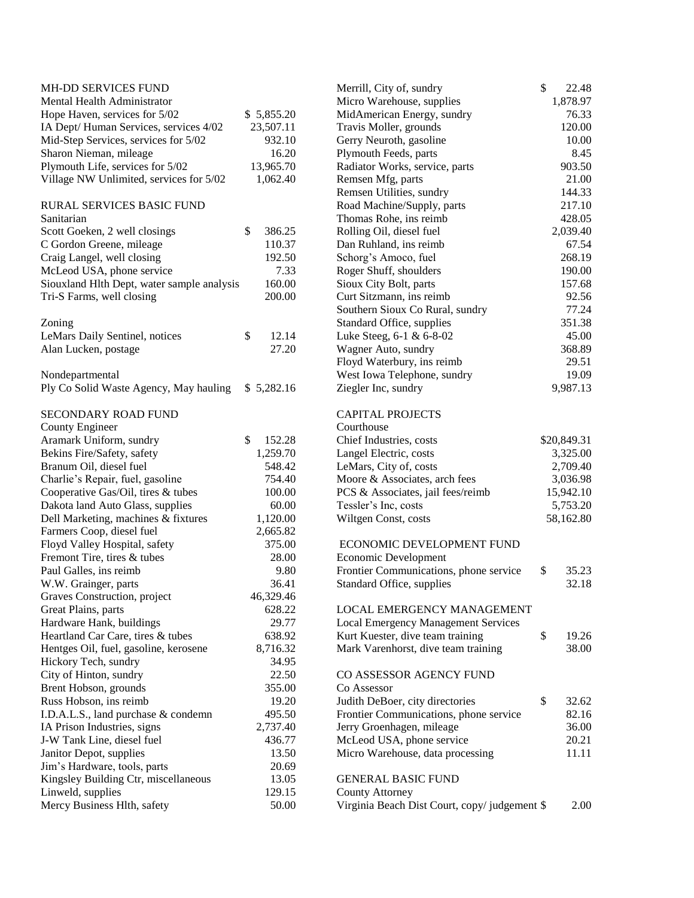| MH-DD SERVICES FUND                        |              | Merrill, City of, sundry                         | \$       | 22.48       |
|--------------------------------------------|--------------|--------------------------------------------------|----------|-------------|
| Mental Health Administrator                |              | Micro Warehouse, supplies                        |          | 1,878.97    |
| Hope Haven, services for 5/02              | \$5,855.20   | MidAmerican Energy, sundry                       |          | 76.33       |
| IA Dept/ Human Services, services 4/02     | 23,507.11    | Travis Moller, grounds                           |          | 120.00      |
| Mid-Step Services, services for 5/02       | 932.10       | Gerry Neuroth, gasoline                          |          | $10.00\,$   |
| Sharon Nieman, mileage                     | 16.20        | Plymouth Feeds, parts                            |          | 8.45        |
| Plymouth Life, services for 5/02           | 13,965.70    | Radiator Works, service, parts                   |          | 903.50      |
| Village NW Unlimited, services for 5/02    | 1,062.40     | Remsen Mfg, parts                                |          | 21.00       |
|                                            |              | Remsen Utilities, sundry                         |          | 144.33      |
| <b>RURAL SERVICES BASIC FUND</b>           |              | Road Machine/Supply, parts                       |          | 217.10      |
| Sanitarian                                 |              | Thomas Rohe, ins reimb                           |          | 428.05      |
|                                            | \$<br>386.25 |                                                  |          |             |
| Scott Goeken, 2 well closings              |              | Rolling Oil, diesel fuel                         |          | 2,039.40    |
| C Gordon Greene, mileage                   | 110.37       | Dan Ruhland, ins reimb                           |          | 67.54       |
| Craig Langel, well closing                 | 192.50       | Schorg's Amoco, fuel                             |          | 268.19      |
| McLeod USA, phone service                  | 7.33         | Roger Shuff, shoulders                           |          | 190.00      |
| Siouxland Hlth Dept, water sample analysis | 160.00       | Sioux City Bolt, parts                           |          | 157.68      |
| Tri-S Farms, well closing                  | 200.00       | Curt Sitzmann, ins reimb                         |          | 92.56       |
|                                            |              | Southern Sioux Co Rural, sundry                  |          | 77.24       |
| Zoning                                     |              | Standard Office, supplies                        |          | 351.38      |
| LeMars Daily Sentinel, notices             | \$<br>12.14  | Luke Steeg, 6-1 & 6-8-02                         |          | 45.00       |
| Alan Lucken, postage                       | 27.20        | Wagner Auto, sundry                              |          | 368.89      |
|                                            |              | Floyd Waterbury, ins reimb                       |          | 29.51       |
| Nondepartmental                            |              | West Iowa Telephone, sundry                      |          | 19.09       |
| Ply Co Solid Waste Agency, May hauling     | \$5,282.16   | Ziegler Inc, sundry                              |          | 9,987.13    |
|                                            |              |                                                  |          |             |
| SECONDARY ROAD FUND                        |              | <b>CAPITAL PROJECTS</b>                          |          |             |
| County Engineer                            |              | Courthouse                                       |          |             |
| Aramark Uniform, sundry                    | 152.28<br>\$ | Chief Industries, costs                          |          | \$20,849.31 |
| Bekins Fire/Safety, safety                 | 1,259.70     | Langel Electric, costs<br>LeMars, City of, costs |          | 3,325.00    |
| Branum Oil, diesel fuel                    | 548.42       |                                                  | 2,709.40 |             |
| Charlie's Repair, fuel, gasoline           | 754.40       | Moore & Associates, arch fees                    | 3,036.98 |             |
| Cooperative Gas/Oil, tires & tubes         | 100.00       | PCS & Associates, jail fees/reimb                |          | 15,942.10   |
| Dakota land Auto Glass, supplies           | 60.00        | Tessler's Inc, costs                             | 5,753.20 |             |
| Dell Marketing, machines & fixtures        | 1,120.00     | Wiltgen Const, costs                             |          | 58,162.80   |
| Farmers Coop, diesel fuel                  | 2,665.82     |                                                  |          |             |
| Floyd Valley Hospital, safety              | 375.00       | ECONOMIC DEVELOPMENT FUND                        |          |             |
| Fremont Tire, tires & tubes                | 28.00        | Economic Development                             |          |             |
| Paul Galles, ins reimb                     | 9.80         | Frontier Communications, phone service           | \$       | 35.23       |
| W.W. Grainger, parts                       | 36.41        | Standard Office, supplies                        |          | 32.18       |
| Graves Construction, project               | 46,329.46    |                                                  |          |             |
| Great Plains, parts                        | 628.22       | <b>LOCAL EMERGENCY MANAGEMENT</b>                |          |             |
| Hardware Hank, buildings                   | 29.77        | <b>Local Emergency Management Services</b>       |          |             |
| Heartland Car Care, tires & tubes          | 638.92       | Kurt Kuester, dive team training                 | \$       | 19.26       |
| Hentges Oil, fuel, gasoline, kerosene      | 8,716.32     | Mark Varenhorst, dive team training              |          | 38.00       |
| Hickory Tech, sundry                       | 34.95        |                                                  |          |             |
|                                            | 22.50        |                                                  |          |             |
| City of Hinton, sundry                     |              | CO ASSESSOR AGENCY FUND                          |          |             |
| Brent Hobson, grounds                      | 355.00       | Co Assessor                                      |          |             |
| Russ Hobson, ins reimb                     | 19.20        | Judith DeBoer, city directories                  | \$       | 32.62       |
| I.D.A.L.S., land purchase & condemn        | 495.50       | Frontier Communications, phone service           |          | 82.16       |
| IA Prison Industries, signs                | 2,737.40     | Jerry Groenhagen, mileage                        |          | 36.00       |
| J-W Tank Line, diesel fuel                 | 436.77       | McLeod USA, phone service                        |          | 20.21       |
| Janitor Depot, supplies                    | 13.50        | Micro Warehouse, data processing                 |          | 11.11       |
| Jim's Hardware, tools, parts               | 20.69        |                                                  |          |             |
| Kingsley Building Ctr, miscellaneous       | 13.05        | <b>GENERAL BASIC FUND</b>                        |          |             |
| Linweld, supplies                          | 129.15       | <b>County Attorney</b>                           |          |             |
| Mercy Business Hlth, safety                | 50.00        | Virginia Beach Dist Court, copy/judgement \$     |          | 2.00        |